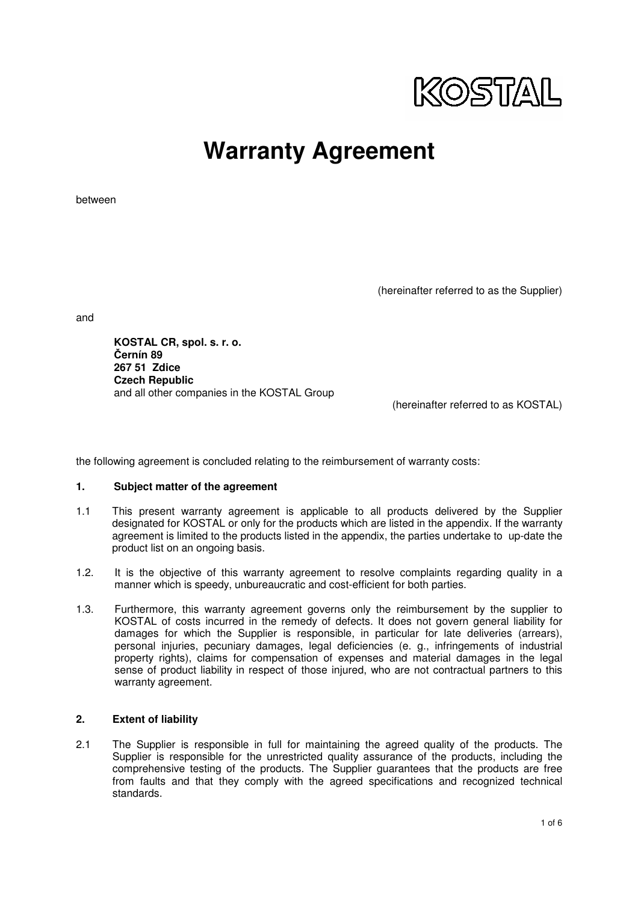

between

(hereinafter referred to as the Supplier)

and

**KOSTAL CR, spol. s. r. o.**  Č**ernín 89 267 51 Zdice Czech Republic**  and all other companies in the KOSTAL Group

(hereinafter referred to as KOSTAL)

the following agreement is concluded relating to the reimbursement of warranty costs:

#### **1. Subject matter of the agreement**

- 1.1 This present warranty agreement is applicable to all products delivered by the Supplier designated for KOSTAL or only for the products which are listed in the appendix. If the warranty agreement is limited to the products listed in the appendix, the parties undertake to up-date the product list on an ongoing basis.
- 1.2. It is the objective of this warranty agreement to resolve complaints regarding quality in a manner which is speedy, unbureaucratic and cost-efficient for both parties.
- 1.3. Furthermore, this warranty agreement governs only the reimbursement by the supplier to KOSTAL of costs incurred in the remedy of defects. It does not govern general liability for damages for which the Supplier is responsible, in particular for late deliveries (arrears), personal injuries, pecuniary damages, legal deficiencies (e. g., infringements of industrial property rights), claims for compensation of expenses and material damages in the legal sense of product liability in respect of those injured, who are not contractual partners to this warranty agreement.

#### **2. Extent of liability**

2.1 The Supplier is responsible in full for maintaining the agreed quality of the products. The Supplier is responsible for the unrestricted quality assurance of the products, including the comprehensive testing of the products. The Supplier guarantees that the products are free from faults and that they comply with the agreed specifications and recognized technical standards.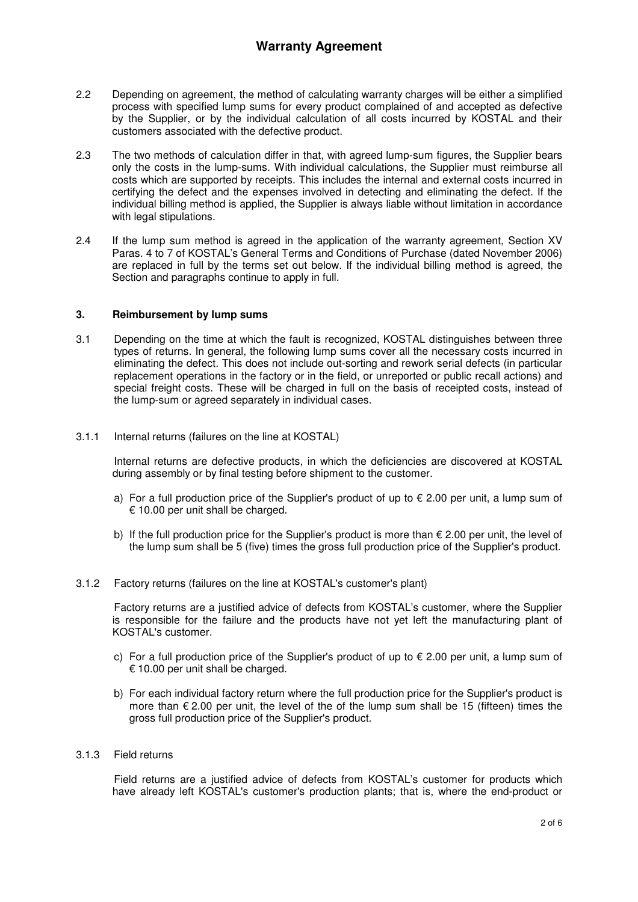- 2.2 Depending on agreement, the method of calculating warranty charges will be either a simplified process with specified lump sums for every product complained of and accepted as defective by the Supplier, or by the individual calculation of all costs incurred by KOSTAL and their customers associated with the defective product.
- 2.3 The two methods of calculation differ in that, with agreed lump-sum figures, the Supplier bears only the costs in the lump-sums. With individual calculations, the Supplier must reimburse all costs which are supported by receipts. This includes the internal and external costs incurred in certifying the defect and the expenses involved in detecting and eliminating the defect. If the individual billing method is applied, the Supplier is always liable without limitation in accordance with legal stipulations.
- 2.4 If the lump sum method is agreed in the application of the warranty agreement, Section XV Paras. 4 to 7 of KOSTAL's General Terms and Conditions of Purchase (dated November 2006) are replaced in full by the terms set out below. If the individual billing method is agreed, the Section and paragraphs continue to apply in full.

## **3. Reimbursement by lump sums**

- 3.1 Depending on the time at which the fault is recognized, KOSTAL distinguishes between three types of returns. In general, the following lump sums cover all the necessary costs incurred in eliminating the defect. This does not include out-sorting and rework serial defects (in particular replacement operations in the factory or in the field, or unreported or public recall actions) and special freight costs. These will be charged in full on the basis of receipted costs, instead of the lump-sum or agreed separately in individual cases.
- 3.1.1 Internal returns (failures on the line at KOSTAL)

 Internal returns are defective products, in which the deficiencies are discovered at KOSTAL during assembly or by final testing before shipment to the customer.

- a) For a full production price of the Supplier's product of up to  $\epsilon$  2.00 per unit, a lump sum of € 10.00 per unit shall be charged.
- b) If the full production price for the Supplier's product is more than  $\epsilon$  2.00 per unit, the level of the lump sum shall be 5 (five) times the gross full production price of the Supplier's product.
- 3.1.2 Factory returns (failures on the line at KOSTAL's customer's plant)

 Factory returns are a justified advice of defects from KOSTAL's customer, where the Supplier is responsible for the failure and the products have not yet left the manufacturing plant of KOSTAL's customer.

- c) For a full production price of the Supplier's product of up to  $\epsilon$  2.00 per unit, a lump sum of € 10.00 per unit shall be charged.
- b) For each individual factory return where the full production price for the Supplier's product is more than  $\epsilon$  2.00 per unit, the level of the of the lump sum shall be 15 (fifteen) times the gross full production price of the Supplier's product.
- 3.1.3 Field returns

 Field returns are a justified advice of defects from KOSTAL's customer for products which have already left KOSTAL's customer's production plants; that is, where the end-product or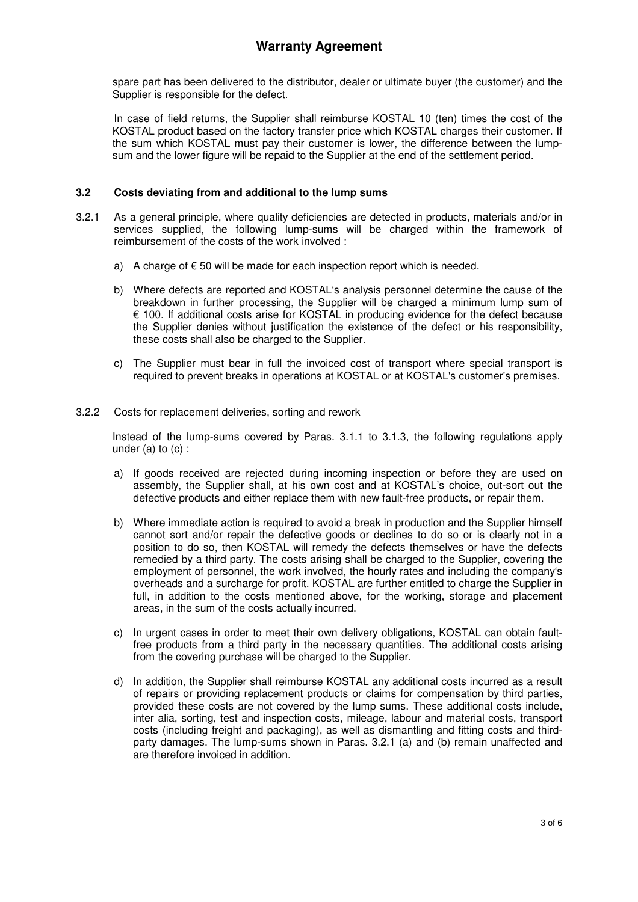spare part has been delivered to the distributor, dealer or ultimate buyer (the customer) and the Supplier is responsible for the defect.

 In case of field returns, the Supplier shall reimburse KOSTAL 10 (ten) times the cost of the KOSTAL product based on the factory transfer price which KOSTAL charges their customer. If the sum which KOSTAL must pay their customer is lower, the difference between the lumpsum and the lower figure will be repaid to the Supplier at the end of the settlement period.

## **3.2 Costs deviating from and additional to the lump sums**

- 3.2.1 As a general principle, where quality deficiencies are detected in products, materials and/or in services supplied, the following lump-sums will be charged within the framework of reimbursement of the costs of the work involved :
	- a) A charge of  $\epsilon$  50 will be made for each inspection report which is needed.
	- b) Where defects are reported and KOSTAL's analysis personnel determine the cause of the breakdown in further processing, the Supplier will be charged a minimum lump sum of € 100. If additional costs arise for KOSTAL in producing evidence for the defect because the Supplier denies without justification the existence of the defect or his responsibility, these costs shall also be charged to the Supplier.
	- c) The Supplier must bear in full the invoiced cost of transport where special transport is required to prevent breaks in operations at KOSTAL or at KOSTAL's customer's premises.
- 3.2.2 Costs for replacement deliveries, sorting and rework

Instead of the lump-sums covered by Paras. 3.1.1 to 3.1.3, the following regulations apply under  $(a)$  to  $(c)$  :

- a) If goods received are rejected during incoming inspection or before they are used on assembly, the Supplier shall, at his own cost and at KOSTAL's choice, out-sort out the defective products and either replace them with new fault-free products, or repair them.
- b) Where immediate action is required to avoid a break in production and the Supplier himself cannot sort and/or repair the defective goods or declines to do so or is clearly not in a position to do so, then KOSTAL will remedy the defects themselves or have the defects remedied by a third party. The costs arising shall be charged to the Supplier, covering the employment of personnel, the work involved, the hourly rates and including the company's overheads and a surcharge for profit. KOSTAL are further entitled to charge the Supplier in full, in addition to the costs mentioned above, for the working, storage and placement areas, in the sum of the costs actually incurred.
- c) In urgent cases in order to meet their own delivery obligations, KOSTAL can obtain faultfree products from a third party in the necessary quantities. The additional costs arising from the covering purchase will be charged to the Supplier.
- d) In addition, the Supplier shall reimburse KOSTAL any additional costs incurred as a result of repairs or providing replacement products or claims for compensation by third parties, provided these costs are not covered by the lump sums. These additional costs include, inter alia, sorting, test and inspection costs, mileage, labour and material costs, transport costs (including freight and packaging), as well as dismantling and fitting costs and thirdparty damages. The lump-sums shown in Paras. 3.2.1 (a) and (b) remain unaffected and are therefore invoiced in addition.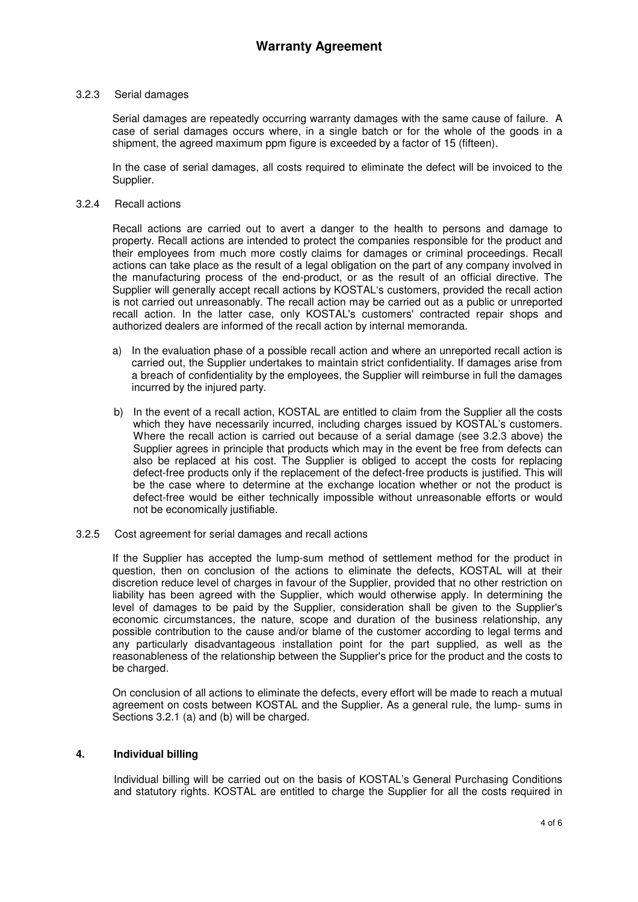### 3.2.3 Serial damages

Serial damages are repeatedly occurring warranty damages with the same cause of failure. A case of serial damages occurs where, in a single batch or for the whole of the goods in a shipment, the agreed maximum ppm figure is exceeded by a factor of 15 (fifteen).

In the case of serial damages, all costs required to eliminate the defect will be invoiced to the Supplier.

#### 3.2.4 Recall actions

Recall actions are carried out to avert a danger to the health to persons and damage to property. Recall actions are intended to protect the companies responsible for the product and their employees from much more costly claims for damages or criminal proceedings. Recall actions can take place as the result of a legal obligation on the part of any company involved in the manufacturing process of the end-product, or as the result of an official directive. The Supplier will generally accept recall actions by KOSTAL's customers, provided the recall action is not carried out unreasonably. The recall action may be carried out as a public or unreported recall action. In the latter case, only KOSTAL's customers' contracted repair shops and authorized dealers are informed of the recall action by internal memoranda.

- a) In the evaluation phase of a possible recall action and where an unreported recall action is carried out, the Supplier undertakes to maintain strict confidentiality. If damages arise from a breach of confidentiality by the employees, the Supplier will reimburse in full the damages incurred by the injured party.
- b) In the event of a recall action, KOSTAL are entitled to claim from the Supplier all the costs which they have necessarily incurred, including charges issued by KOSTAL's customers. Where the recall action is carried out because of a serial damage (see 3.2.3 above) the Supplier agrees in principle that products which may in the event be free from defects can also be replaced at his cost. The Supplier is obliged to accept the costs for replacing defect-free products only if the replacement of the defect-free products is justified. This will be the case where to determine at the exchange location whether or not the product is defect-free would be either technically impossible without unreasonable efforts or would not be economically justifiable.
- 3.2.5 Cost agreement for serial damages and recall actions

If the Supplier has accepted the lump-sum method of settlement method for the product in question, then on conclusion of the actions to eliminate the defects, KOSTAL will at their discretion reduce level of charges in favour of the Supplier, provided that no other restriction on liability has been agreed with the Supplier, which would otherwise apply. In determining the level of damages to be paid by the Supplier, consideration shall be given to the Supplier's economic circumstances, the nature, scope and duration of the business relationship, any possible contribution to the cause and/or blame of the customer according to legal terms and any particularly disadvantageous installation point for the part supplied, as well as the reasonableness of the relationship between the Supplier's price for the product and the costs to be charged.

On conclusion of all actions to eliminate the defects, every effort will be made to reach a mutual agreement on costs between KOSTAL and the Supplier. As a general rule, the lump- sums in Sections 3.2.1 (a) and (b) will be charged.

### **4. Individual billing**

Individual billing will be carried out on the basis of KOSTAL's General Purchasing Conditions and statutory rights. KOSTAL are entitled to charge the Supplier for all the costs required in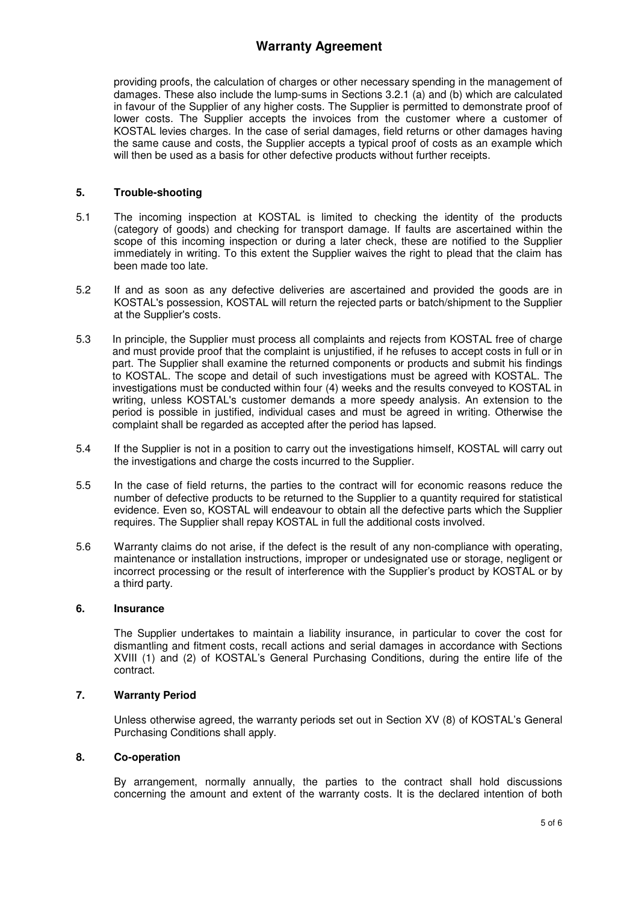providing proofs, the calculation of charges or other necessary spending in the management of damages. These also include the lump-sums in Sections 3.2.1 (a) and (b) which are calculated in favour of the Supplier of any higher costs. The Supplier is permitted to demonstrate proof of lower costs. The Supplier accepts the invoices from the customer where a customer of KOSTAL levies charges. In the case of serial damages, field returns or other damages having the same cause and costs, the Supplier accepts a typical proof of costs as an example which will then be used as a basis for other defective products without further receipts.

## **5. Trouble-shooting**

- 5.1 The incoming inspection at KOSTAL is limited to checking the identity of the products (category of goods) and checking for transport damage. If faults are ascertained within the scope of this incoming inspection or during a later check, these are notified to the Supplier immediately in writing. To this extent the Supplier waives the right to plead that the claim has been made too late.
- 5.2 If and as soon as any defective deliveries are ascertained and provided the goods are in KOSTAL's possession, KOSTAL will return the rejected parts or batch/shipment to the Supplier at the Supplier's costs.
- 5.3 In principle, the Supplier must process all complaints and rejects from KOSTAL free of charge and must provide proof that the complaint is unjustified, if he refuses to accept costs in full or in part. The Supplier shall examine the returned components or products and submit his findings to KOSTAL. The scope and detail of such investigations must be agreed with KOSTAL. The investigations must be conducted within four (4) weeks and the results conveyed to KOSTAL in writing, unless KOSTAL's customer demands a more speedy analysis. An extension to the period is possible in justified, individual cases and must be agreed in writing. Otherwise the complaint shall be regarded as accepted after the period has lapsed.
- 5.4 If the Supplier is not in a position to carry out the investigations himself, KOSTAL will carry out the investigations and charge the costs incurred to the Supplier.
- 5.5 In the case of field returns, the parties to the contract will for economic reasons reduce the number of defective products to be returned to the Supplier to a quantity required for statistical evidence. Even so, KOSTAL will endeavour to obtain all the defective parts which the Supplier requires. The Supplier shall repay KOSTAL in full the additional costs involved.
- 5.6 Warranty claims do not arise, if the defect is the result of any non-compliance with operating, maintenance or installation instructions, improper or undesignated use or storage, negligent or incorrect processing or the result of interference with the Supplier's product by KOSTAL or by a third party.

### **6. Insurance**

The Supplier undertakes to maintain a liability insurance, in particular to cover the cost for dismantling and fitment costs, recall actions and serial damages in accordance with Sections XVIII (1) and (2) of KOSTAL's General Purchasing Conditions, during the entire life of the contract.

### **7. Warranty Period**

Unless otherwise agreed, the warranty periods set out in Section XV (8) of KOSTAL's General Purchasing Conditions shall apply.

## **8. Co-operation**

By arrangement, normally annually, the parties to the contract shall hold discussions concerning the amount and extent of the warranty costs. It is the declared intention of both